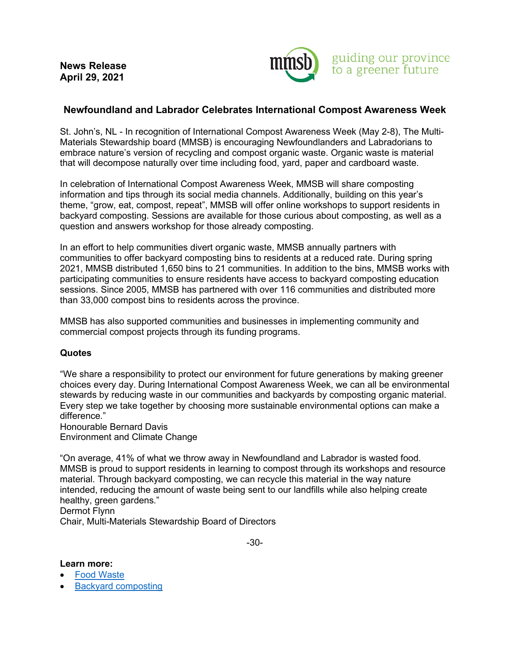

## **Newfoundland and Labrador Celebrates International Compost Awareness Week**

St. John's, NL - In recognition of International Compost Awareness Week (May 2-8), The Multi-Materials Stewardship board (MMSB) is encouraging Newfoundlanders and Labradorians to embrace nature's version of recycling and compost organic waste. Organic waste is material that will decompose naturally over time including food, yard, paper and cardboard waste.

In celebration of International Compost Awareness Week, MMSB will share composting information and tips through its social media channels. Additionally, building on this year's theme, "grow, eat, compost, repeat", MMSB will offer online workshops to support residents in backyard composting. Sessions are available for those curious about composting, as well as a question and answers workshop for those already composting.

In an effort to help communities divert organic waste, MMSB annually partners with communities to offer backyard composting bins to residents at a reduced rate. During spring 2021, MMSB distributed 1,650 bins to 21 communities. In addition to the bins, MMSB works with participating communities to ensure residents have access to backyard composting education sessions. Since 2005, MMSB has partnered with over 116 communities and distributed more than 33,000 compost bins to residents across the province.

MMSB has also supported communities and businesses in implementing community and commercial compost projects through its funding programs.

## **Quotes**

"We share a responsibility to protect our environment for future generations by making greener choices every day. During International Compost Awareness Week, we can all be environmental stewards by reducing waste in our communities and backyards by composting organic material. Every step we take together by choosing more sustainable environmental options can make a difference."

Honourable Bernard Davis Environment and Climate Change

"On average, 41% of what we throw away in Newfoundland and Labrador is wasted food. MMSB is proud to support residents in learning to compost through its workshops and resource material. Through backyard composting, we can recycle this material in the way nature intended, reducing the amount of waste being sent to our landfills while also helping create healthy, green gardens."

Dermot Flynn

Chair, Multi-Materials Stewardship Board of Directors

-30-

## **Learn more:**

- **[Food Waste](https://rethinkwastenl.ca/food-waste/)**
- [Backyard composting](https://rethinkwastenl.ca/food-waste/backyard-composting/)